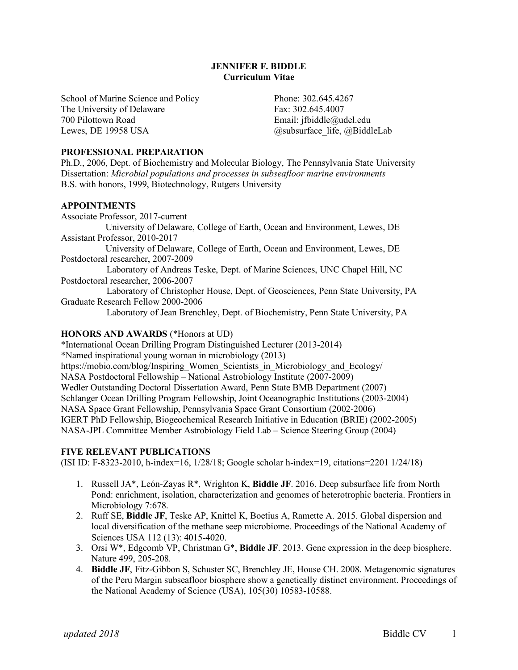## **JENNIFER F. BIDDLE Curriculum Vitae**

School of Marine Science and Policy The University of Delaware 700 Pilottown Road Lewes, DE 19958 USA

Phone: 302.645.4267 Fax: 302.645.4007 Email: jfbiddle@udel.edu @subsurface\_life, @BiddleLab

### **PROFESSIONAL PREPARATION**

Ph.D., 2006, Dept. of Biochemistry and Molecular Biology, The Pennsylvania State University Dissertation: *Microbial populations and processes in subseafloor marine environments* B.S. with honors, 1999, Biotechnology, Rutgers University

#### **APPOINTMENTS**

Associate Professor, 2017-current University of Delaware, College of Earth, Ocean and Environment, Lewes, DE Assistant Professor, 2010-2017 University of Delaware, College of Earth, Ocean and Environment, Lewes, DE Postdoctoral researcher, 2007-2009 Laboratory of Andreas Teske, Dept. of Marine Sciences, UNC Chapel Hill, NC Postdoctoral researcher, 2006-2007 Laboratory of Christopher House, Dept. of Geosciences, Penn State University, PA Graduate Research Fellow 2000-2006 Laboratory of Jean Brenchley, Dept. of Biochemistry, Penn State University, PA

#### **HONORS AND AWARDS** (\*Honors at UD)

\*International Ocean Drilling Program Distinguished Lecturer (2013-2014) \*Named inspirational young woman in microbiology (2013) https://mobio.com/blog/Inspiring\_Women\_Scientists\_in\_Microbiology\_and\_Ecology/ NASA Postdoctoral Fellowship – National Astrobiology Institute (2007-2009) Wedler Outstanding Doctoral Dissertation Award, Penn State BMB Department (2007) Schlanger Ocean Drilling Program Fellowship, Joint Oceanographic Institutions (2003-2004) NASA Space Grant Fellowship, Pennsylvania Space Grant Consortium (2002-2006) IGERT PhD Fellowship, Biogeochemical Research Initiative in Education (BRIE) (2002-2005) NASA-JPL Committee Member Astrobiology Field Lab – Science Steering Group (2004)

### **FIVE RELEVANT PUBLICATIONS**

(ISI ID: F-8323-2010, h-index=16, 1/28/18; Google scholar h-index=19, citations=2201 1/24/18)

- 1. Russell JA\*, León-Zayas R\*, Wrighton K, **Biddle JF**. 2016. Deep subsurface life from North Pond: enrichment, isolation, characterization and genomes of heterotrophic bacteria. Frontiers in Microbiology 7:678.
- 2. Ruff SE, **Biddle JF**, Teske AP, Knittel K, Boetius A, Ramette A. 2015. Global dispersion and local diversification of the methane seep microbiome. Proceedings of the National Academy of Sciences USA 112 (13): 4015-4020.
- 3. Orsi W\*, Edgcomb VP, Christman G\*, **Biddle JF**. 2013. Gene expression in the deep biosphere. Nature 499, 205-208.
- 4. **Biddle JF**, Fitz-Gibbon S, Schuster SC, Brenchley JE, House CH. 2008. Metagenomic signatures of the Peru Margin subseafloor biosphere show a genetically distinct environment. Proceedings of the National Academy of Science (USA), 105(30) 10583-10588.